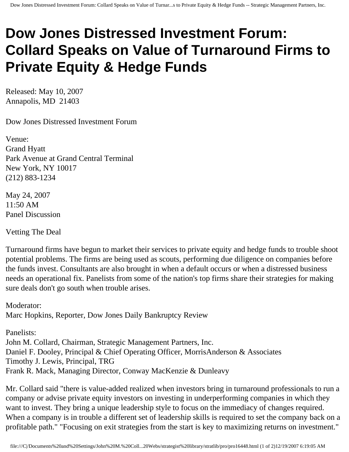## **Dow Jones Distressed Investment Forum: Collard Speaks on Value of Turnaround Firms to Private Equity & Hedge Funds**

Released: May 10, 2007 Annapolis, MD 21403

Dow Jones Distressed Investment Forum

Venue: Grand Hyatt Park Avenue at Grand Central Terminal New York, NY 10017 (212) 883-1234

May 24, 2007 11:50 AM Panel Discussion

Vetting The Deal

Turnaround firms have begun to market their services to private equity and hedge funds to trouble shoot potential problems. The firms are being used as scouts, performing due diligence on companies before the funds invest. Consultants are also brought in when a default occurs or when a distressed business needs an operational fix. Panelists from some of the nation's top firms share their strategies for making sure deals don't go south when trouble arises.

Moderator: Marc Hopkins, Reporter, Dow Jones Daily Bankruptcy Review

Panelists: John M. Collard, Chairman, Strategic Management Partners, Inc. Daniel F. Dooley, Principal & Chief Operating Officer, MorrisAnderson & Associates Timothy J. Lewis, Principal, TRG Frank R. Mack, Managing Director, Conway MacKenzie & Dunleavy

Mr. Collard said "there is value-added realized when investors bring in turnaround professionals to run a company or advise private equity investors on investing in underperforming companies in which they want to invest. They bring a unique leadership style to focus on the immediacy of changes required. When a company is in trouble a different set of leadership skills is required to set the company back on a profitable path." "Focusing on exit strategies from the start is key to maximizing returns on investment."